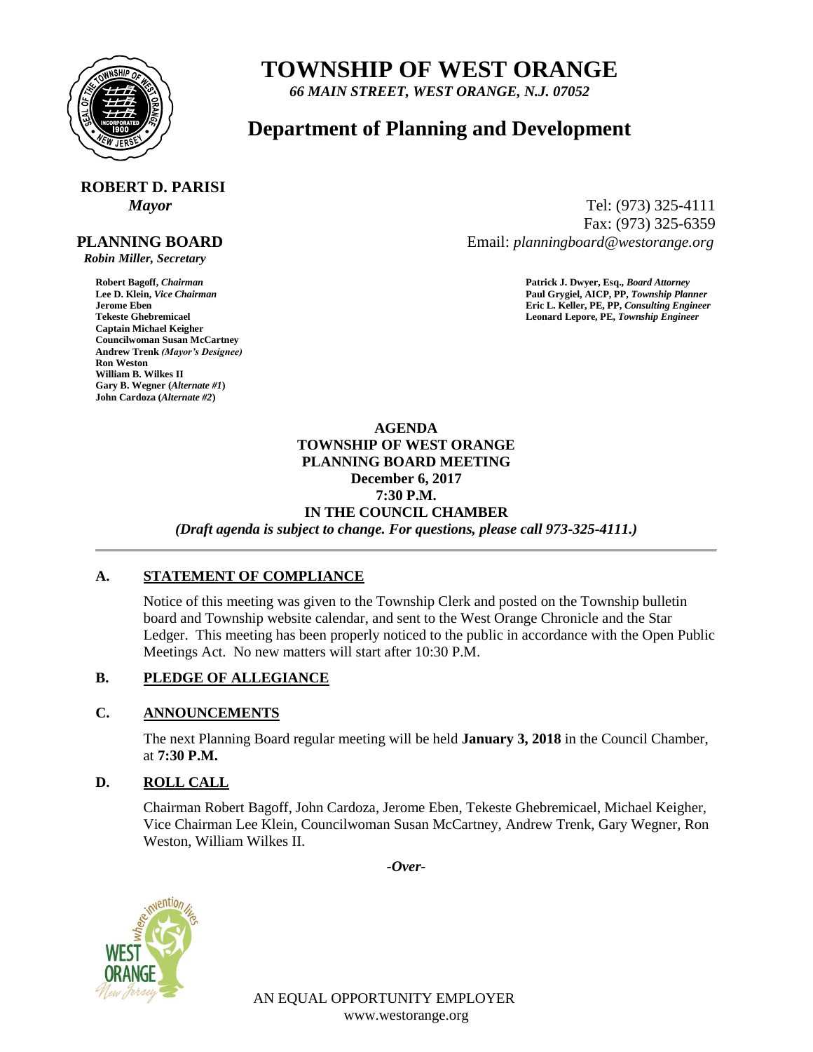

## **TOWNSHIP OF WEST ORANGE**

*66 MAIN STREET, WEST ORANGE, N.J. 07052*

### **Department of Planning and Development**

# **ROBERT D. PARISI**

#### **PLANNING BOARD**

 *Robin Miller, Secretary*

**Captain Michael Keigher Councilwoman Susan McCartney Andrew Trenk** *(Mayor's Designee)* **Ron Weston William B. Wilkes II Gary B. Wegner (***Alternate #1***) John Cardoza (***Alternate #2***)**

*Mayor* Tel: (973) 325-4111 Fax: (973) 325-6359 Email: *planningboard@westorange.org*

**Robert Bagoff,** *Chairman* **Patrick J. Dwyer, Esq.,** *Board Attorney* **Lee D. Klein,** *Vice Chairman* **Paul Grygiel, AICP, PP,** *Township Planner* **Jerome Eben Eric L. Keller, PE, PP,** *Consulting Engineer* Leonard Lepore, PE, Township Engineer

> **AGENDA TOWNSHIP OF WEST ORANGE PLANNING BOARD MEETING December 6, 2017 7:30 P.M. IN THE COUNCIL CHAMBER** *(Draft agenda is subject to change. For questions, please call 973-325-4111.)*

#### **A. STATEMENT OF COMPLIANCE**

Notice of this meeting was given to the Township Clerk and posted on the Township bulletin board and Township website calendar, and sent to the West Orange Chronicle and the Star Ledger. This meeting has been properly noticed to the public in accordance with the Open Public Meetings Act. No new matters will start after 10:30 P.M.

#### **B. PLEDGE OF ALLEGIANCE**

#### **C. ANNOUNCEMENTS**

The next Planning Board regular meeting will be held **January 3, 2018** in the Council Chamber, at **7:30 P.M.**

#### **D. ROLL CALL**

Chairman Robert Bagoff, John Cardoza, Jerome Eben, Tekeste Ghebremicael, Michael Keigher, Vice Chairman Lee Klein, Councilwoman Susan McCartney, Andrew Trenk, Gary Wegner, Ron Weston, William Wilkes II.

*-Over-*



AN EQUAL OPPORTUNITY EMPLOYER www.westorange.org